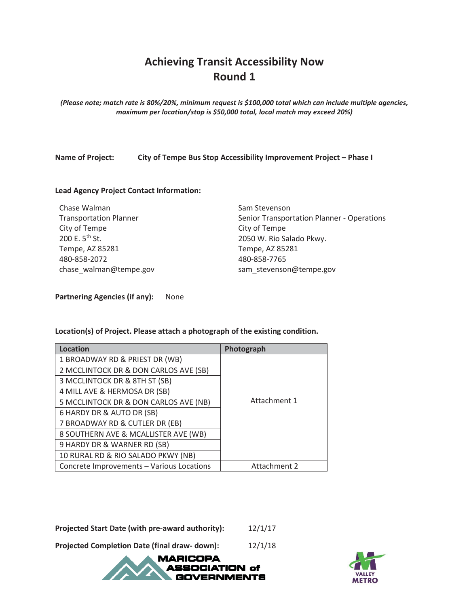## **Achieving Transit Accessibility Now Round 1**

*(Please note; match rate is 80%/20%, minimum request is \$100,000 total which can include multiple agencies, maximum per location/stop is \$50,000 total, local match may exceed 20%)* 

**Name of Project: City of Tempe Bus Stop Accessibility Improvement Project – Phase I** 

#### **Lead Agency Project Contact Information:**

Chase Walman Transportation Planner City of Tempe 200 E. 5<sup>th</sup> St. Tempe, AZ 85281 480-858-2072 chase\_walman@tempe.gov Sam Stevenson Senior Transportation Planner - Operations City of Tempe 2050 W. Rio Salado Pkwy. Tempe, AZ 85281 480-858-7765 sam\_stevenson@tempe.gov

**Partnering Agencies (if any):** None

**Location(s) of Project. Please attach a photograph of the existing condition.** 

| <b>Location</b>                           | Photograph   |  |  |  |  |  |
|-------------------------------------------|--------------|--|--|--|--|--|
| 1 BROADWAY RD & PRIEST DR (WB)            |              |  |  |  |  |  |
| 2 MCCLINTOCK DR & DON CARLOS AVE (SB)     |              |  |  |  |  |  |
| 3 MCCLINTOCK DR & 8TH ST (SB)             |              |  |  |  |  |  |
| 4 MILL AVE & HERMOSA DR (SB)              |              |  |  |  |  |  |
| 5 MCCLINTOCK DR & DON CARLOS AVE (NB)     | Attachment 1 |  |  |  |  |  |
| 6 HARDY DR & AUTO DR (SB)                 |              |  |  |  |  |  |
| 7 BROADWAY RD & CUTLER DR (EB)            |              |  |  |  |  |  |
| 8 SOUTHERN AVE & MCALLISTER AVE (WB)      |              |  |  |  |  |  |
| 9 HARDY DR & WARNER RD (SB)               |              |  |  |  |  |  |
| 10 RURAL RD & RIO SALADO PKWY (NB)        |              |  |  |  |  |  |
| Concrete Improvements - Various Locations | Attachment 2 |  |  |  |  |  |

**Projected Start Date (with pre-award authority):** 12/1/17

**Projected Completion Date (final draw- down):** 12/1/18



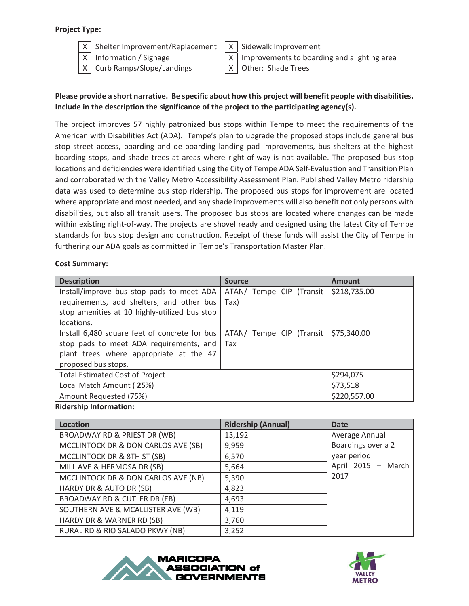#### **Project Type:**



 $X$  Shelter Improvement/Replacement  $X$  Sidewalk Improvement

 $X \mid$  Curb Ramps/Slope/Landings  $X \mid$  Other: Shade Trees

 $X \mid$  Information / Signage  $X \mid$  Improvements to boarding and alighting area

### **Please provide a short narrative. Be specific about how this project will benefit people with disabilities. Include in the description the significance of the project to the participating agency(s).**

The project improves 57 highly patronized bus stops within Tempe to meet the requirements of the American with Disabilities Act (ADA). Tempe's plan to upgrade the proposed stops include general bus stop street access, boarding and de-boarding landing pad improvements, bus shelters at the highest boarding stops, and shade trees at areas where right-of-way is not available. The proposed bus stop locations and deficiencies were identified using the City of Tempe ADA Self-Evaluation and Transition Plan and corroborated with the Valley Metro Accessibility Assessment Plan. Published Valley Metro ridership data was used to determine bus stop ridership. The proposed bus stops for improvement are located where appropriate and most needed, and any shade improvements will also benefit not only persons with disabilities, but also all transit users. The proposed bus stops are located where changes can be made within existing right-of-way. The projects are shovel ready and designed using the latest City of Tempe standards for bus stop design and construction. Receipt of these funds will assist the City of Tempe in furthering our ADA goals as committed in Tempe's Transportation Master Plan.

#### **Cost Summary:**

| <b>Description</b>                            | <b>Source</b>            | <b>Amount</b> |
|-----------------------------------------------|--------------------------|---------------|
| Install/improve bus stop pads to meet ADA     | ATAN/ Tempe CIP (Transit | \$218,735.00  |
| requirements, add shelters, and other bus     | Tax)                     |               |
| stop amenities at 10 highly-utilized bus stop |                          |               |
| locations.                                    |                          |               |
| Install 6,480 square feet of concrete for bus | ATAN/ Tempe CIP (Transit | \$75,340.00   |
| stop pads to meet ADA requirements, and       | Tax                      |               |
| plant trees where appropriate at the 47       |                          |               |
| proposed bus stops.                           |                          |               |
| <b>Total Estimated Cost of Project</b>        | \$294,075                |               |
| Local Match Amount (25%)                      | \$73,518                 |               |
| Amount Requested (75%)                        |                          | \$220,557.00  |

#### **Ridership Information:**

| <b>Location</b>                     | <b>Ridership (Annual)</b> | <b>Date</b>        |
|-------------------------------------|---------------------------|--------------------|
| BROADWAY RD & PRIEST DR (WB)        | 13,192                    | Average Annual     |
| MCCLINTOCK DR & DON CARLOS AVE (SB) | 9,959                     | Boardings over a 2 |
| MCCLINTOCK DR & 8TH ST (SB)         | 6,570                     | year period        |
| MILL AVE & HERMOSA DR (SB)          | 5,664                     | April 2015 - March |
| MCCLINTOCK DR & DON CARLOS AVE (NB) | 5,390                     | 2017               |
| HARDY DR & AUTO DR (SB)             | 4,823                     |                    |
| BROADWAY RD & CUTLER DR (EB)        | 4,693                     |                    |
| SOUTHERN AVE & MCALLISTER AVE (WB)  | 4,119                     |                    |
| HARDY DR & WARNER RD (SB)           | 3,760                     |                    |
| RURAL RD & RIO SALADO PKWY (NB)     | 3,252                     |                    |



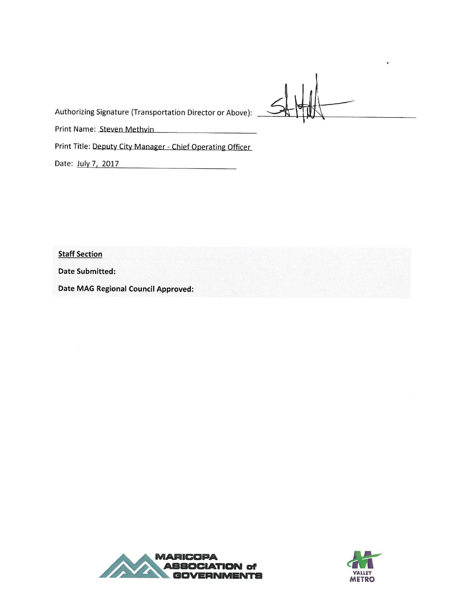Authorizing Signature (Transportation Director or Above):

Print Name: Steven Methvin

Print Title: Deputy City Manager - Chief Operating Officer

Date: July 7, 2017

**Staff Section** 

**Date Submitted:** 

**Date MAG Regional Council Approved:** 



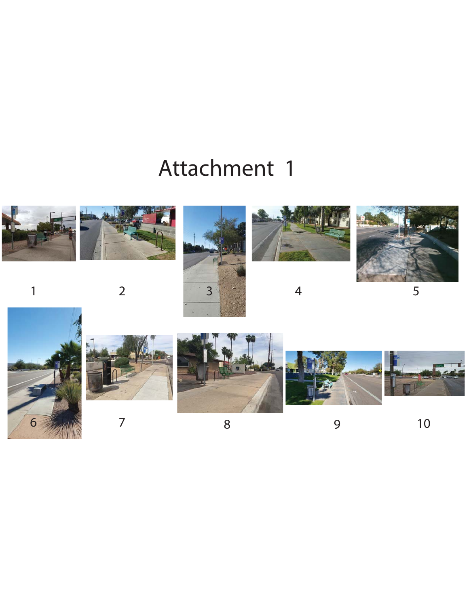# Attachment 1